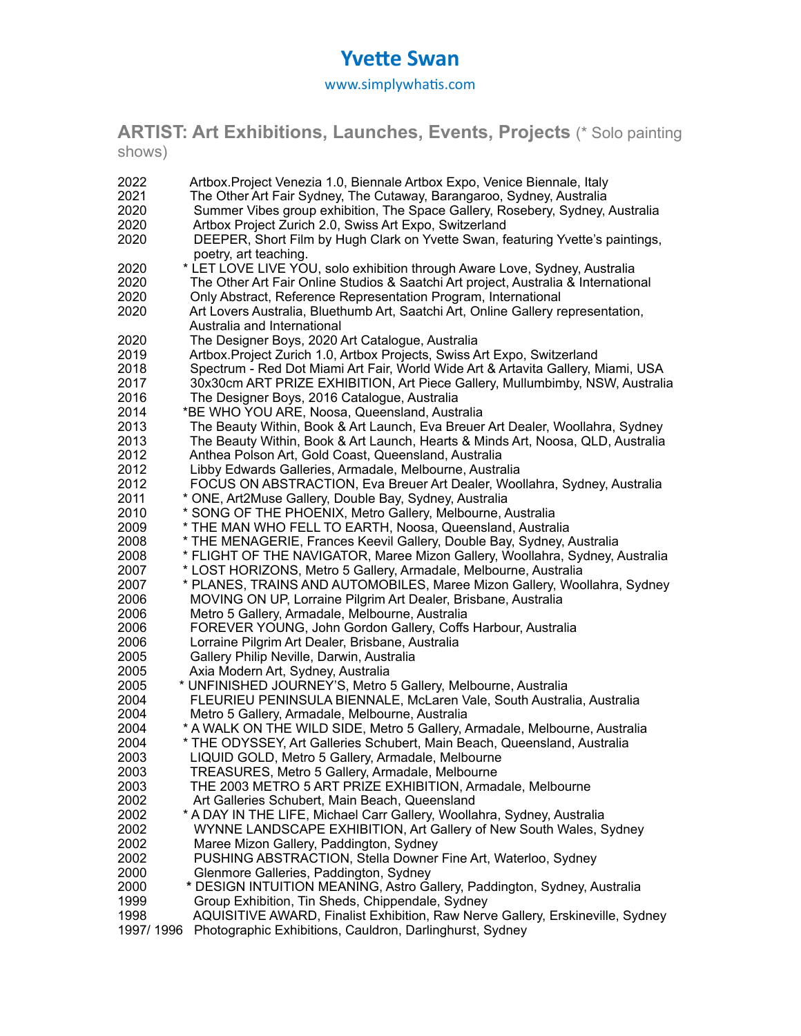# **Yvette Swan**

www.simplywhatis.com

**ARTIST: Art Exhibitions, Launches, Events, Projects** (\* Solo painting shows)

| 2022                         | Artbox. Project Venezia 1.0, Biennale Artbox Expo, Venice Biennale, Italy                                                                                                                                                                                                                                                                                                      |
|------------------------------|--------------------------------------------------------------------------------------------------------------------------------------------------------------------------------------------------------------------------------------------------------------------------------------------------------------------------------------------------------------------------------|
| 2021                         | The Other Art Fair Sydney, The Cutaway, Barangaroo, Sydney, Australia                                                                                                                                                                                                                                                                                                          |
| 2020                         | Summer Vibes group exhibition, The Space Gallery, Rosebery, Sydney, Australia                                                                                                                                                                                                                                                                                                  |
| 2020                         | Artbox Project Zurich 2.0, Swiss Art Expo, Switzerland                                                                                                                                                                                                                                                                                                                         |
| 2020                         | DEEPER, Short Film by Hugh Clark on Yvette Swan, featuring Yvette's paintings,                                                                                                                                                                                                                                                                                                 |
| 2020<br>2020<br>2020<br>2020 | poetry, art teaching.<br>* LET LOVE LIVE YOU, solo exhibition through Aware Love, Sydney, Australia<br>The Other Art Fair Online Studios & Saatchi Art project, Australia & International<br>Only Abstract, Reference Representation Program, International<br>Art Lovers Australia, Bluethumb Art, Saatchi Art, Online Gallery representation,<br>Australia and International |
| 2020                         | The Designer Boys, 2020 Art Catalogue, Australia                                                                                                                                                                                                                                                                                                                               |
| 2019                         | Artbox. Project Zurich 1.0, Artbox Projects, Swiss Art Expo, Switzerland                                                                                                                                                                                                                                                                                                       |
| 2018                         | Spectrum - Red Dot Miami Art Fair, World Wide Art & Artavita Gallery, Miami, USA                                                                                                                                                                                                                                                                                               |
| 2017                         | 30x30cm ART PRIZE EXHIBITION, Art Piece Gallery, Mullumbimby, NSW, Australia                                                                                                                                                                                                                                                                                                   |
| 2016                         | The Designer Boys, 2016 Catalogue, Australia                                                                                                                                                                                                                                                                                                                                   |
| 2014                         | *BE WHO YOU ARE, Noosa, Queensland, Australia                                                                                                                                                                                                                                                                                                                                  |
| 2013                         | The Beauty Within, Book & Art Launch, Eva Breuer Art Dealer, Woollahra, Sydney                                                                                                                                                                                                                                                                                                 |
| 2013                         | The Beauty Within, Book & Art Launch, Hearts & Minds Art, Noosa, QLD, Australia                                                                                                                                                                                                                                                                                                |
| 2012                         | Anthea Polson Art, Gold Coast, Queensland, Australia                                                                                                                                                                                                                                                                                                                           |
| 2012                         | Libby Edwards Galleries, Armadale, Melbourne, Australia                                                                                                                                                                                                                                                                                                                        |
| 2012                         | FOCUS ON ABSTRACTION, Eva Breuer Art Dealer, Woollahra, Sydney, Australia                                                                                                                                                                                                                                                                                                      |
| 2011                         | * ONE, Art2Muse Gallery, Double Bay, Sydney, Australia                                                                                                                                                                                                                                                                                                                         |
| 2010                         | * SONG OF THE PHOENIX, Metro Gallery, Melbourne, Australia                                                                                                                                                                                                                                                                                                                     |
| 2009                         | * THE MAN WHO FELL TO EARTH, Noosa, Queensland, Australia                                                                                                                                                                                                                                                                                                                      |
| 2008                         | * THE MENAGERIE, Frances Keevil Gallery, Double Bay, Sydney, Australia                                                                                                                                                                                                                                                                                                         |
| 2008                         | * FLIGHT OF THE NAVIGATOR, Maree Mizon Gallery, Woollahra, Sydney, Australia                                                                                                                                                                                                                                                                                                   |
| 2007                         | * LOST HORIZONS, Metro 5 Gallery, Armadale, Melbourne, Australia                                                                                                                                                                                                                                                                                                               |
| 2007                         | * PLANES, TRAINS AND AUTOMOBILES, Maree Mizon Gallery, Woollahra, Sydney                                                                                                                                                                                                                                                                                                       |
| 2006                         | MOVING ON UP, Lorraine Pilgrim Art Dealer, Brisbane, Australia                                                                                                                                                                                                                                                                                                                 |
| 2006                         | Metro 5 Gallery, Armadale, Melbourne, Australia                                                                                                                                                                                                                                                                                                                                |
| 2006                         | FOREVER YOUNG, John Gordon Gallery, Coffs Harbour, Australia                                                                                                                                                                                                                                                                                                                   |
| 2006                         | Lorraine Pilgrim Art Dealer, Brisbane, Australia                                                                                                                                                                                                                                                                                                                               |
| 2005                         | Gallery Philip Neville, Darwin, Australia                                                                                                                                                                                                                                                                                                                                      |
| 2005                         | Axia Modern Art, Sydney, Australia                                                                                                                                                                                                                                                                                                                                             |
| 2005                         | * UNFINISHED JOURNEY'S, Metro 5 Gallery, Melbourne, Australia                                                                                                                                                                                                                                                                                                                  |
| 2004                         | FLEURIEU PENINSULA BIENNALE, McLaren Vale, South Australia, Australia                                                                                                                                                                                                                                                                                                          |
| 2004                         | Metro 5 Gallery, Armadale, Melbourne, Australia                                                                                                                                                                                                                                                                                                                                |
| 2004                         | * A WALK ON THE WILD SIDE, Metro 5 Gallery, Armadale, Melbourne, Australia                                                                                                                                                                                                                                                                                                     |
| 2004                         | * THE ODYSSEY, Art Galleries Schubert, Main Beach, Queensland, Australia                                                                                                                                                                                                                                                                                                       |
| 2003                         | LIQUID GOLD, Metro 5 Gallery, Armadale, Melbourne                                                                                                                                                                                                                                                                                                                              |
| 2003                         | TREASURES, Metro 5 Gallery, Armadale, Melbourne                                                                                                                                                                                                                                                                                                                                |
| 2003                         | THE 2003 METRO 5 ART PRIZE EXHIBITION, Armadale, Melbourne                                                                                                                                                                                                                                                                                                                     |
| 2002                         | Art Galleries Schubert, Main Beach, Queensland                                                                                                                                                                                                                                                                                                                                 |
| 2002                         | * A DAY IN THE LIFE, Michael Carr Gallery, Woollahra, Sydney, Australia                                                                                                                                                                                                                                                                                                        |
| 2002                         | WYNNE LANDSCAPE EXHIBITION, Art Gallery of New South Wales, Sydney                                                                                                                                                                                                                                                                                                             |
| 2002                         | Maree Mizon Gallery, Paddington, Sydney                                                                                                                                                                                                                                                                                                                                        |
| 2002                         | PUSHING ABSTRACTION, Stella Downer Fine Art, Waterloo, Sydney                                                                                                                                                                                                                                                                                                                  |
| 2000                         | Glenmore Galleries, Paddington, Sydney                                                                                                                                                                                                                                                                                                                                         |
| 2000                         | * DESIGN INTUITION MEANING, Astro Gallery, Paddington, Sydney, Australia                                                                                                                                                                                                                                                                                                       |
| 1999                         | Group Exhibition, Tin Sheds, Chippendale, Sydney                                                                                                                                                                                                                                                                                                                               |
| 1998                         | AQUISITIVE AWARD, Finalist Exhibition, Raw Nerve Gallery, Erskineville, Sydney                                                                                                                                                                                                                                                                                                 |
| 1997/1996                    | Photographic Exhibitions, Cauldron, Darlinghurst, Sydney                                                                                                                                                                                                                                                                                                                       |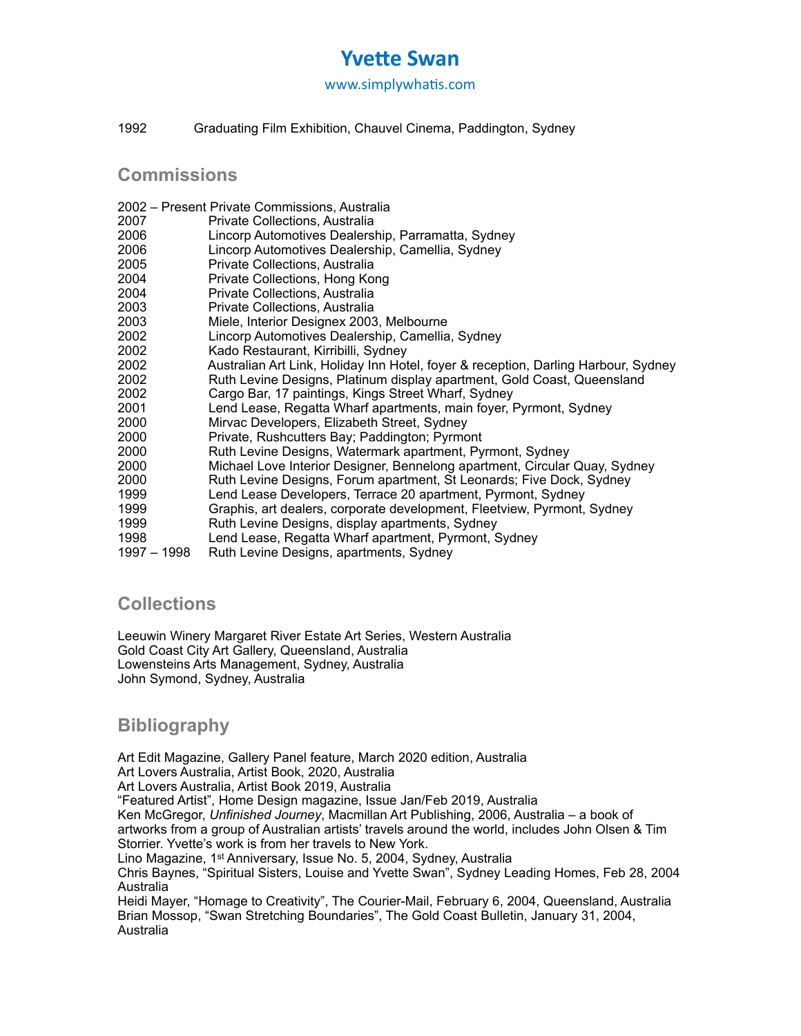# **Yvette Swan**

www.simplywhatis.com

1992 Graduating Film Exhibition, Chauvel Cinema, Paddington, Sydney

**Commissions**

- 2002 Present Private Commissions, Australia
- 2007 Private Collections, Australia
- 2006 Lincorp Automotives Dealership, Parramatta, Sydney
- Lincorp Automotives Dealership, Camellia, Sydney
- 2005 Private Collections, Australia
- 2004 Private Collections, Hong Kong
- 2004 Private Collections, Australia
- 2003 Private Collections, Australia
- 2003 Miele, Interior Designex 2003, Melbourne
- 2002 Lincorp Automotives Dealership, Camellia, Sydney
- 2002 Kado Restaurant, Kirribilli, Sydney
- 2002 Australian Art Link, Holiday Inn Hotel, foyer & reception, Darling Harbour, Sydney
- 2002 Ruth Levine Designs, Platinum display apartment, Gold Coast, Queensland
- 2002 Cargo Bar, 17 paintings, Kings Street Wharf, Sydney
- 2001 Lend Lease, Regatta Wharf apartments, main foyer, Pyrmont, Sydney
- 2000 Mirvac Developers, Elizabeth Street, Sydney
- 2000 Private, Rushcutters Bay; Paddington; Pyrmont
- 2000 Ruth Levine Designs, Watermark apartment, Pyrmont, Sydney
- 2000 Michael Love Interior Designer, Bennelong apartment, Circular Quay, Sydney
- 2000 Ruth Levine Designs, Forum apartment, St Leonards; Five Dock, Sydney
- 1999 Lend Lease Developers, Terrace 20 apartment, Pyrmont, Sydney
- 1999 Graphis, art dealers, corporate development, Fleetview, Pyrmont, Sydney
- 1999 Ruth Levine Designs, display apartments, Sydney
- 1998 Lend Lease, Regatta Wharf apartment, Pyrmont, Sydney<br>1997 1998 Ruth Levine Designs, apartments, Sydney
- Ruth Levine Designs, apartments, Sydney

## **Collections**

Leeuwin Winery Margaret River Estate Art Series, Western Australia Gold Coast City Art Gallery, Queensland, Australia Lowensteins Arts Management, Sydney, Australia John Symond, Sydney, Australia

# **Bibliography**

Art Edit Magazine, Gallery Panel feature, March 2020 edition, Australia

Art Lovers Australia, Artist Book, 2020, Australia

Art Lovers Australia, Artist Book 2019, Australia

"Featured Artist", Home Design magazine, Issue Jan/Feb 2019, Australia

Ken McGregor, *Unfinished Journey*, Macmillan Art Publishing, 2006, Australia – a book of artworks from a group of Australian artists' travels around the world, includes John Olsen & Tim Storrier. Yvette's work is from her travels to New York.

Lino Magazine, 1st Anniversary, Issue No. 5, 2004, Sydney, Australia

Chris Baynes, "Spiritual Sisters, Louise and Yvette Swan", Sydney Leading Homes, Feb 28, 2004 Australia

Heidi Mayer, "Homage to Creativity", The Courier-Mail, February 6, 2004, Queensland, Australia Brian Mossop, "Swan Stretching Boundaries", The Gold Coast Bulletin, January 31, 2004, Australia